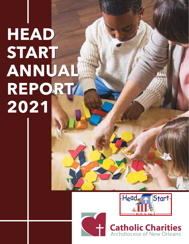# **HEAD HEAD START START ANNUAL ANNUAL REPORT REPORT 2021 2021**





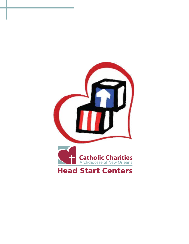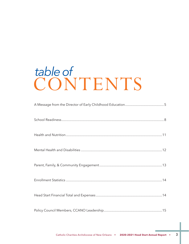## CONTENTS *table of*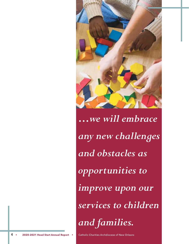

*…we will embrace any new challenges and obstacles as opportunities to improve upon our services to children and families.*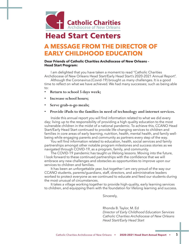

## **Head Start Centers**

## **A MESSAGE FROM THE DIRECTOR OF EARLY CHILDHOOD EDUCATION**

#### **Dear Friends of Catholic Charities Archdiocese of New Orleans – Head Start Program:**

I am delighted that you have taken a moment to read "Catholic Charities Archdiocese of New Orleans Head Start/Early Head Start's 2020-2021 Annual Report".

Although the Coronavirus (Covid-19) brought us many challenges. It is a good time to reflect on what we have achieved. We had many successes; such as being able to:

- **• Return to school 5 days week;**
- **• Increase school hours;**
- **• Serve grab-n-go meals;**
- **• Provide iPads to the families in need of technology and internet services.**

Inside this annual report you will find information related to what we did every day; living up to the responsibility of providing a high quality education to the most vulnerable children in the midst of a national pandemic. To achieve this, CCANO Head Start/Early Head Start continued to provide life-changing services to children and families in core areas of early learning, nutrition, health, mental health, and family wellbeing while engaging parents and community as partners every step of the way.

You will find information related to education, health, social services and family partnerships amongst other notable program milestones and success stories as we navigated through COVID-19, as a program, family, and community.

The COVID-19 pandemic has taught us lifelong lessons. Moving into the future, I look forward to these continued partnerships with the confidence that we will embrace any new challenges and obstacles as opportunities to improve upon our services to children and families.

It has been an unforgettable year, but together I am very proud of the way our CCANO students, parents/guardians, staff, directors, and administrative leaders worked to protect everyone as we continued to educate and feed our students during the most unusual of circumstances.

It takes a village working together to provide high-quality, early learning services to children, and equipping them with the foundation for lifelong learning and success.

Sincerely,

Rhonda B. Taylor, M. Ed *Director of Early Childhood Education Services Catholic Charities Archdiocese of New Orleans Head Start/Early Head Start*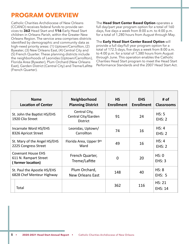## **PROGRAM OVERVIEW**

Catholic Charities Archdiocese of New Orleans (CCANO) receives federal funds to provide services to **362** Head Start and **116** Early Head Start children in Orleans Parish, within the Greater New Orleans Region. The service area comprises districts identified by demographic and community data as high-need priority areas: (1) Uptown/Carrollton, (2) Bywater, (3) New Orleans East, (4) Central City and (5) French Quarter. These planning districts include the neighborhoods of Leonidas (Uptown/Carrollton), Florida Area (Bywater), Plum Orchard (New Orleans East), Garden District (Central City) and Treme/Lafitte (French Quarter).

The **Head Start Center Based Option** operates a full day/part year program option for a total of 160 days, five days a week from 8:00 a.m. to 4:00 p.m. for a total of 1,280 hours from August through May.

The **Early Head Start Center Based Option** will provide a full day/full year program option for a total of 172.5 days, five days a week from 8:00 a.m. to 4:00 p.m. for a total of 1,380 hours from August through June. This operation enables the Catholic Charities Head Start program to meet the Head Start Performance Standards and the 2007 Head Start Act.

|                                                                         | <b>Name</b><br><b>Location of Center</b> | <b>Neighborhood</b><br><b>Planning District</b>         | <b>HS</b><br><b>Enrollment</b> | <b>EHS</b><br><b>Enrollment</b> | # of<br><b>Classrooms</b> |
|-------------------------------------------------------------------------|------------------------------------------|---------------------------------------------------------|--------------------------------|---------------------------------|---------------------------|
| St. John the Baptist HS/EHS<br>1920 Clio Street                         |                                          | Central City,<br>Central City/Garden<br><b>District</b> | 91                             | 24                              |                           |
| Incarnate Word HS/EHS<br>8326 Apricot Street                            |                                          | Leonidas, Uptown/<br>Carrollton                         | 74<br>16                       |                                 | HS: 4<br>EHS: 2           |
| St. Mary of the Angel HS/EHS<br>2225 Congress Street                    |                                          | Florida Area, Upper 9th<br>Ward                         | 49<br>16                       |                                 | HS: 4<br>EHS: 2           |
| <b>Covenant House EHS</b><br>611 N. Rampart Street<br>(former location) |                                          | French Quarter,<br>Treme/Lafitte                        | $\overline{0}$                 | 20                              | HS: 0<br>EHS: 3           |
| St. Paul the Apostle HS/EHS<br>6828 Chef Menteur Highway                |                                          | Plum Orchard,<br><b>New Orleans East</b>                | 148                            | 40                              | HS: 8<br><b>EHS: 5</b>    |
|                                                                         | Total                                    |                                                         | 362                            | 116                             | HS: 21<br><b>EHS: 14</b>  |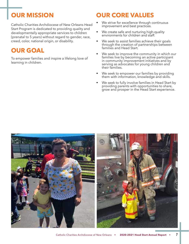## **OUR MISSION**

Catholic Charities Archdiocese of New Orleans Head Start Program is dedicated to providing quality and developmentally appropriate services to children (prenatal to 5 years) without regard to gender, race, creed, color, national origin, or disability.

## **OUR GOAL**

To empower families and inspire a lifelong love of learning in children.

## **OUR CORE VALUES**

- We strive for excellence through continuous improvement and best practices.
- We create safe and nurturing high-quality environments for children and staff.
- We seek to assist families achieve their goals through the creation of partnerships between families and Head Start.
- We seek to improve the community in which our families live by becoming an active participant in community improvement initiatives and by serving as advocates for young children and their families.
- We seek to empower our families by providing them with information, knowledge and skills.
- We seek to fully involve families in Head Start by providing parents with opportunities to share, grow and prosper in the Head Start experience.

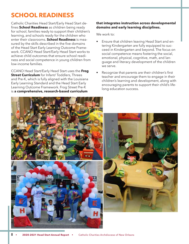## **SCHOOL READINESS**

Catholic Charities Head Start/Early Head Start defines **School Readiness** as children being ready for school, families ready to support their children's learning, and schools ready for the children who enter their classrooms. **School Readiness** is measured by the skills described in the five domains of the Head Start Early Learning Outcome Framework. CCANO Head Start/Early Head Start works to achieve child outcomes that ensure school readiness and social competence in young children from low-income families.

CCANO Head Start/Early Head Start uses the **Frog Street Curriculum** for Infant/ Toddlers, Threes and Pre-K, which is fully aligned with the Louisiana Early Learning Standard and the Head Start Early Learning Outcome Framework. Frog Street Pre-K is **a comprehensive, research-based curriculum** 

#### **that integrates instruction across developmental domains and early learning disciplines.**

We work to:

- Ensure that children leaving Head Start and entering Kindergarten are fully equipped to succeed in Kindergarten and beyond. The focus on social competence means fostering the social, emotional, physical, cognitive, math, and language and literacy development of the children we serve.
- Recognize that parents are their children's first teacher and encourage them to engage in their children's learning and development, along with encouraging parents to support their child's lifelong education success.

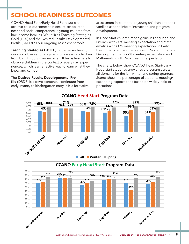## **SCHOOL READINESS OUTCOMES**

CCANO Head Start/Early Head Start works to achieve child outcomes that ensure school readiness and social competence in young children from low-income families. We utilizes Teaching Strategies Gold (TGS) and the Desired Results Developmental Profile (DRPD) as our ongoing assessment tools.

**Teaching Strategies GOLD** (TSG) is an authentic, ongoing observational system for assessing children from birth through kindergarten. It helps teachers to observe children in the context of every day experiences, which is an effective way to learn what they know and can do.

#### The **Desired Results Developmental Pro-**

**65% 74% 65% 74% 80% 74% 78% 77% 82% 79%** 90% early infancy to kindergarten entry. It is a formative **file** (DRDP) is a developmental continuum from

assessment instrument for young children and their families used to inform instruction and program development.

In Head Start children made gains in Language and Literacy with 80% meeting expectation and Mathematics with 80% meeting expectation. In Early Head Start, children made gains in Social/Emotional Development with 77% meeting expectation and Mathematics with 76% meeting expectation.

**ental Pro-** Scores show the percentage of students meeting/ The charts below show CCANO Head Start/Early Head start student's growth as a program across all domains for the fall, winter and spring quarters. exceeding expectations based on widely-held expectations.

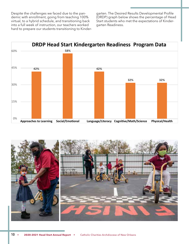Despite the challenges we faced due to the pandemic with enrollment, going from teaching 100% virtual, to a hybrid schedule, and transitioning back into a full week of instruction, our teachers worked hard to prepare our students transitioning to Kindergarten. The Desired Results Developmental Profile (DRDP) graph below shows the percentage of Head Start students who met the expectations of Kindergarten Readiness.



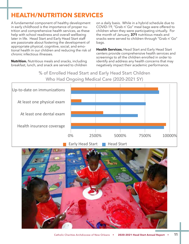## **HEALTH/NUTRITION SERVICES**

A fundamental component of healthy development in early childhood is the importance of proper nutrition and comprehensive health services, as these help with school readiness and overall wellbeing later in life. Head Start and Early Head Start staff are passionate about fostering the development of appropriate physical, cognitive, social, and emotional health in our children and reducing the risk of chronic infectious illnesses.

**Nutrition.** Nutritious meals and snacks, including breakfast, lunch, and snack are served to children on a daily basis. While in a hybrid schedule due to COVID-19, "Grab n' Go" meal bags were offered to children when they were participating virtually. For the month of January, **371** nutritious meals and snacks were served to children through "Grab n' Go" bags.

**Health Services.** Head Start and Early Head Start centers provide comprehensive health services and screenings to all the children enrolled in order to including identify and address any health concerns that may negatively impact their academic performance.

% of Enrolled Head Start and Early Head Start Children Who Had Ongoing Medical Care (2020-2021 SY) Care (2020-2021 SY) Start Chidlen Who Had Ongoing Medical Children Who Had Ongoing Medical Children Who Had Ongoing Medical Children Who Had Ongoing Children Who Had Ongoing Children Who Had Ongoing Children Who Had Ongoing Children Who Had O



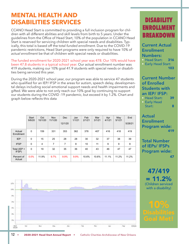## **MENTAL HEALTH AND DISABILITIES SERVICES**

CCANO Head Start is committed to providing a full inclusion program for children with all different abilities and skill levels from birth to 5 years. Under the guidelines from the Office of Head Start, 10% of the population in CCANO Head Start is reserved for servicing children with special needs and disabilities. Typically, this total is based off the total *funded enrollment*. Due to the COVID-19 pandemic restrictions, Head Start programs were only required to have 10% of *actual enrollment* be that of children with special needs or disabilities.

The funded enrollment for 2020-2021 school year was 478. Our 10% would have been 47.8 students in a typical school year. Our actual enrollment number was 419 students, making our 10% goal 41.9 students with special needs or disabilities being serviced this year.

During the 2020-2021 school year, our program was able to service 47 students who qualified for an IEP/ IFSP in the areas for autism, speech delay, developmental delays including social emotional support needs and health impairments and gifted. We were able to not only reach our 10% goal by continuing to support our students during the COVID -19 pandemic, but exceed it by 1.2%. Chart and graph below reflects this data

|  |                       | Start<br>9/8/20 | Oct<br>10/1/20 | <b>Nov</b><br>11/1/20 | <b>Dec</b><br>12/1/20 | Jan<br>1/1/21 | Feb<br>2/1/21 | Mar<br>3/1/21 | Apr<br>4/1/21 | May<br>5/1/21 | End<br>5/28/21 |
|--|-----------------------|-----------------|----------------|-----------------------|-----------------------|---------------|---------------|---------------|---------------|---------------|----------------|
|  | Actual<br>Enrollment  | $\mathbf 0$     | 159            | 331                   | 353                   | 362           | 378           | 407           | 416           | 418           | 419            |
|  | <b>IEP</b>            | $\mathbf 0$     | 15             | 25                    | 28                    | 28            | 30            | 32            | 37            | 38            | 39             |
|  | <b>IFSP</b>           | 0               | 4              | $\overline{7}$        | $\overline{7}$        | 8             | 10            | 11            | 9             | 9             | 8              |
|  | Total (IEP +<br>IFSP) | $\mathbf 0$     | 19             | 32                    | 35                    | 36            | 40            | 43            | 46            | 47            | 47             |
|  | Percent of<br>Actual  | 0.0%            | 11.9%          | 9.7%                  | 9.9%                  | 9.9%          | 10.6%         | 10.6%         | 11.1%         | 11.2%         | 11.2%          |



## DISABILITY ENROLLM BREAKDOWN

Current Actual Enrollment Numbers:

• Head Start: 316 • Early Head Start: 103

#### Current Number of Enrolled Students with an IEP/ IFSP:

| • Head Start: | 39 |
|---------------|----|
| • Early Head  |    |
| Start:        | 8  |

Actual Enrollment Program wide: 419

Total Number of IEPs/ IFSPs Program wide: 47 (1992) 1994 (1994) 1995 (1995) 1996 (1995) 1997 (1997) 1997 (1997) 1997 (1997) 1997 (1997) 1997 (1997) 199

47/419  $= 11.2%$ (Children serviced with a disability)

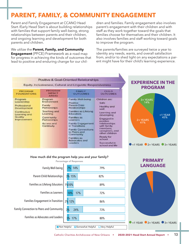## **PARENT, FAMILY, & COMMUNITY ENGAGEMENT**

Parent and Family Engagement at CCANO Head Start /Early Head Start is about building relationships with families that support family well-being, strong relationships between parents and their children, and ongoing learning and development for both parents and children.

We utilize the **Parent, Family, and Community Engagement** (PFCE) Framework as a road map for progress in achieving the kinds of outcomes that lead to positive and enduring change for our children and families. Family engagement also involves parent's engagement with their children and with staff as they work together toward the goals that families choose for themselves and their children. It also involves families and staff working toward goals to improve the program.

The parents/families are surveyed twice a year to identity any needs, wants, and overall satisfaction from, and/or to shed light on any expectations a parent might have for their child's learning experience.





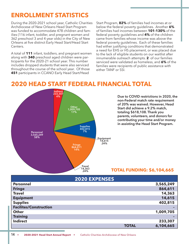## **ENROLLMENT STATISTICS**

During the 2020-2021 school year, Catholic Charities Archdiocese of New Orleans Head Start Program was funded to accommodate 478 children and families (116 infant, toddler, and pregnant women and 362 preschool 3 and 4 year olds) in the City of New Orleans at five distinct Early Head Start/Head Start Centers.

A total of **111** infant, toddlers, and pregnant women along with **340** preschool aged children were participants for the 2020-21 school year. This number includes dropped students that were also serviced throughout the course of the school year. Of those **451** participants in CCANO Early Head Start/Head

Start Program, **82%** of families had incomes at or below the federal poverty guidelines. Another **6%** of families had incomes between **101-130%** of the federal poverty guidelines and **4%** of the children came from families whose income was above the federal poverty guidelines. Each of these families had either justifying conditions that demonstrated a need for EHS or HS placement, or was placed due to the lack of eligible students on our waitlist after innumerable outreach attempts. **2** of our families serviced were validated as homeless, and **6%** of the families were recipients of public assistance with either TANF or SSI.

## **2020 HEAD START FEDERAL FINANCIAL TOTAL**



**Due to COVID restrictions in 2020, the non-Federal match rate requirement of 20% was waived. However, Head Start did achieve a 9.2% match, totaling \$618,108. Thank you parents, volunteers, and donors for contributing your time and/or money in assisting the Head Start Program.**

#### **TOTAL FUNDING: \$6,104,665**

|                               | <b>2020 EXPENSES</b> |           |
|-------------------------------|----------------------|-----------|
| <b>Personnel</b>              |                      | 3,565,249 |
| <b>Fringe</b>                 |                      | 864,611   |
| <b>Travel</b>                 |                      | 14,363    |
| <b>Equipment</b>              |                      | 14,615    |
| <b>Supplies</b>               |                      | 402,815   |
| <b>Facilites/Construction</b> |                      |           |
| <b>Other</b>                  |                      | 1,009,705 |
| <b>Training</b>               |                      |           |
| <b>Indirect</b>               |                      | 233,307   |
|                               | <b>TOTAL</b>         | 6,104,665 |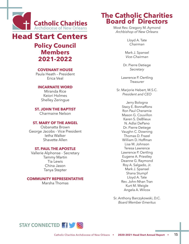

## **Head Start Centers**

## **Policy Council Members 2021-2022**

#### **COVENANT HOUSE**

Paula Heath – President Erica Veal

#### **INCARNATE WORD**

Miranda Rice Keiori Holmes Shelley Zeringue

**ST. JOHN THE BAPTIST** Charmaine Nelson

#### **ST. MARY OF THE ANGEL**

Osbanatta Brown George Jacobs - Vice President Ietha Walker Shavette Allen

#### **ST. PAUL THE APOSTLE**

Vallerie Alphonse - Secretary Tammy Martin Tia Lewis China Jason Tanya Stepter

#### **COMMUNITY REPRESENTATIVE**

Marsha Thomas

## **The Catholic Charities Board of Directors**

Most Rev. Gregory M. Aymond *Archbishop of New Orleans*

> Lloyd A. Tate *Chairman*

Mark J. Spansel *Vice-Chairman*

Dr. Pierre Detiege *Secretary*

Lawrence P. Oertling *Treasurer*

Sr. Marjorie Hebert, M.S.C. *President and CEO*

> Jerry Bologna Stacy E. Bonnaffons Ron Paul Cheramie Mason G. Couvillon Karen S. DeBlieux N. Adlai DePano Dr. Pierre Detiege Vaughn C. Downing Thomas D. Frazel William D. Hoffman Lisa M. Johnson Teresa Lawrence Lawrence P. Oertling Eugene A. Priestley Deanne G. Raymond Roy A. Salgado, Jr. Mark J. Spansel Shana Stumpf Lloyd A. Tate Rev. John-Nhan Tran Kurt M. Weigle Angela A. Wilcox

Sr. Anthony Barczykowski, D.C. *Board Member Emeritus*